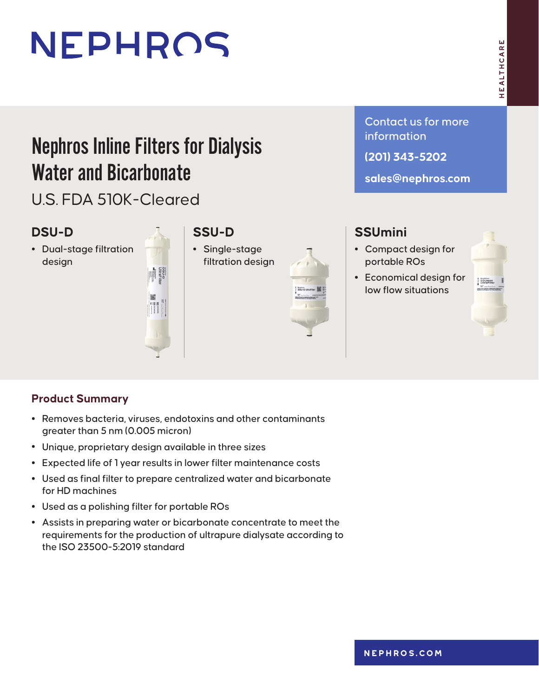# NEPHROS

## Nephros Inline Filters for Dialysis Water and Bicarbonate

U.S. FDA 510K-Cleared

#### **DSU-D**

**•** Dual‑stage filtration design



### **SSU-D**

**•** Single‑stage filtration design



Contact us for more information

**(201) 343-5202**

**sales@nephros.com**

### **SSUmini**

- **•** Compact design for portable ROs
- **•** Economical design for low flow situations



#### **Product Summary**

- **•** Removes bacteria, viruses, endotoxins and other contaminants greater than 5 nm (0.005 micron)
- **•** Unique, proprietary design available in three sizes
- **•** Expected life of 1 year results in lower filter maintenance costs
- **•** Used as final filter to prepare centralized water and bicarbonate for HD machines
- **•** Used as a polishing filter for portable ROs
- **•** Assists in preparing water or bicarbonate concentrate to meet the requirements for the production of ultrapure dialysate according to the ISO 23500-5:2019 standard